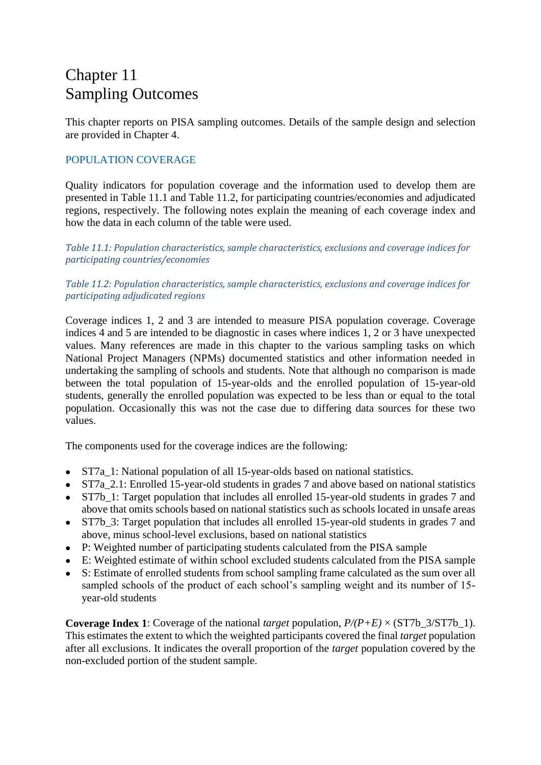# Chapter 11 Sampling Outcomes

This chapter reports on PISA sampling outcomes. Details of the sample design and selection are provided in Chapter 4.

# POPULATION COVERAGE

Quality indicators for population coverage and the information used to develop them are presented in Table 11.1 and Table 11.2, for participating countries/economies and adjudicated regions, respectively. The following notes explain the meaning of each coverage index and how the data in each column of the table were used.

*Table 11.1: Population characteristics, sample characteristics, exclusions and coverage indices for participating countries/economies*

## *Table 11.2: Population characteristics, sample characteristics, exclusions and coverage indices for participating adjudicated regions*

Coverage indices 1, 2 and 3 are intended to measure PISA population coverage. Coverage indices 4 and 5 are intended to be diagnostic in cases where indices 1, 2 or 3 have unexpected values. Many references are made in this chapter to the various sampling tasks on which National Project Managers (NPMs) documented statistics and other information needed in undertaking the sampling of schools and students. Note that although no comparison is made between the total population of 15-year-olds and the enrolled population of 15-year-old students, generally the enrolled population was expected to be less than or equal to the total population. Occasionally this was not the case due to differing data sources for these two values.

The components used for the coverage indices are the following:

- ST7a\_1: National population of all 15-year-olds based on national statistics.
- ST7a\_2.1: Enrolled 15-year-old students in grades 7 and above based on national statistics
- ST7b 1: Target population that includes all enrolled 15-year-old students in grades 7 and above that omits schools based on national statistics such as schools located in unsafe areas
- ST7b 3: Target population that includes all enrolled 15-year-old students in grades 7 and above, minus school-level exclusions, based on national statistics
- P: Weighted number of participating students calculated from the PISA sample
- E: Weighted estimate of within school excluded students calculated from the PISA sample
- S: Estimate of enrolled students from school sampling frame calculated as the sum over all sampled schools of the product of each school's sampling weight and its number of 15 year-old students

**Coverage Index 1**: Coverage of the national *target* population, *P/(P+E)* × (ST7b\_3/ST7b\_1). This estimates the extent to which the weighted participants covered the final *target* population after all exclusions. It indicates the overall proportion of the *target* population covered by the non-excluded portion of the student sample.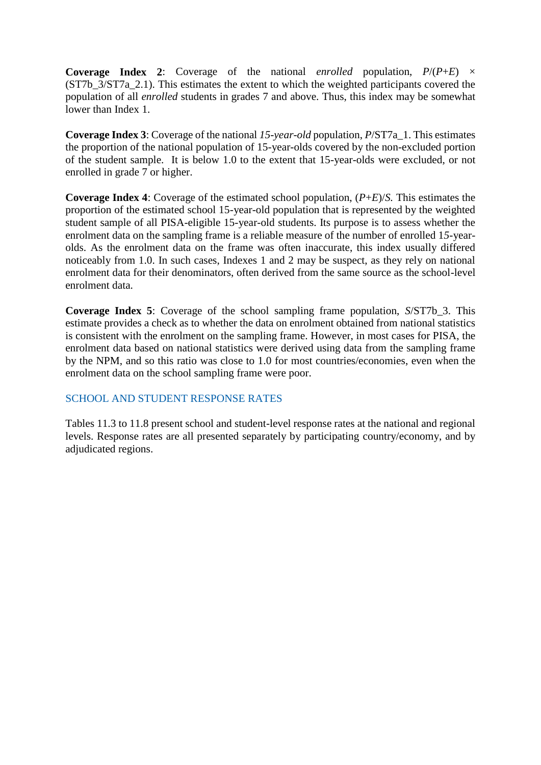**Coverage Index 2:** Coverage of the national *enrolled* population,  $P/(P+E) \times$ (ST7b\_3/ST7a\_2.1). This estimates the extent to which the weighted participants covered the population of all *enrolled* students in grades 7 and above. Thus, this index may be somewhat lower than Index 1.

**Coverage Index 3**: Coverage of the national *15-year-old* population, *P*/ST7a\_1. This estimates the proportion of the national population of 15-year-olds covered by the non-excluded portion of the student sample. It is below 1.0 to the extent that 15-year-olds were excluded, or not enrolled in grade 7 or higher.

**Coverage Index 4**: Coverage of the estimated school population, (*P*+*E*)/*S.* This estimates the proportion of the estimated school 15-year-old population that is represented by the weighted student sample of all PISA-eligible 15-year-old students. Its purpose is to assess whether the enrolment data on the sampling frame is a reliable measure of the number of enrolled 1*5*-yearolds. As the enrolment data on the frame was often inaccurate, this index usually differed noticeably from 1.0. In such cases, Indexes 1 and 2 may be suspect, as they rely on national enrolment data for their denominators, often derived from the same source as the school-level enrolment data.

**Coverage Index 5**: Coverage of the school sampling frame population, *S*/ST7b\_3. This estimate provides a check as to whether the data on enrolment obtained from national statistics is consistent with the enrolment on the sampling frame. However, in most cases for PISA, the enrolment data based on national statistics were derived using data from the sampling frame by the NPM, and so this ratio was close to 1.0 for most countries/economies, even when the enrolment data on the school sampling frame were poor.

## SCHOOL AND STUDENT RESPONSE RATES

Tables 11.3 to 11.8 present school and student-level response rates at the national and regional levels. Response rates are all presented separately by participating country/economy, and by adjudicated regions.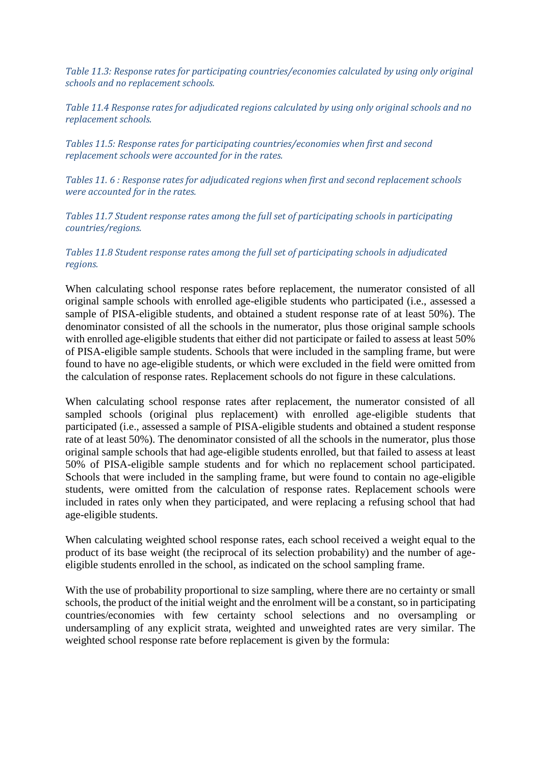*Table 11.3: Response rates for participating countries/economies calculated by using only original schools and no replacement schools.* 

*Table 11.4 Response rates for adjudicated regions calculated by using only original schools and no replacement schools.* 

*Tables 11.5: Response rates for participating countries/economies when first and second replacement schools were accounted for in the rates.* 

*Tables 11. 6 : Response rates for adjudicated regions when first and second replacement schools were accounted for in the rates.* 

*Tables 11.7 Student response rates among the full set of participating schools in participating countries/regions.*

#### *Tables 11.8 Student response rates among the full set of participating schools in adjudicated regions.*

When calculating school response rates before replacement, the numerator consisted of all original sample schools with enrolled age-eligible students who participated (i.e., assessed a sample of PISA-eligible students, and obtained a student response rate of at least 50%). The denominator consisted of all the schools in the numerator, plus those original sample schools with enrolled age-eligible students that either did not participate or failed to assess at least 50% of PISA-eligible sample students. Schools that were included in the sampling frame, but were found to have no age-eligible students, or which were excluded in the field were omitted from the calculation of response rates. Replacement schools do not figure in these calculations.

When calculating school response rates after replacement, the numerator consisted of all sampled schools (original plus replacement) with enrolled age-eligible students that participated (i.e., assessed a sample of PISA-eligible students and obtained a student response rate of at least 50%). The denominator consisted of all the schools in the numerator, plus those original sample schools that had age-eligible students enrolled, but that failed to assess at least 50% of PISA-eligible sample students and for which no replacement school participated. Schools that were included in the sampling frame, but were found to contain no age-eligible students, were omitted from the calculation of response rates. Replacement schools were included in rates only when they participated, and were replacing a refusing school that had age-eligible students.

When calculating weighted school response rates, each school received a weight equal to the product of its base weight (the reciprocal of its selection probability) and the number of ageeligible students enrolled in the school, as indicated on the school sampling frame.

With the use of probability proportional to size sampling, where there are no certainty or small schools, the product of the initial weight and the enrolment will be a constant, so in participating countries/economies with few certainty school selections and no oversampling or undersampling of any explicit strata, weighted and unweighted rates are very similar. The weighted school response rate before replacement is given by the formula: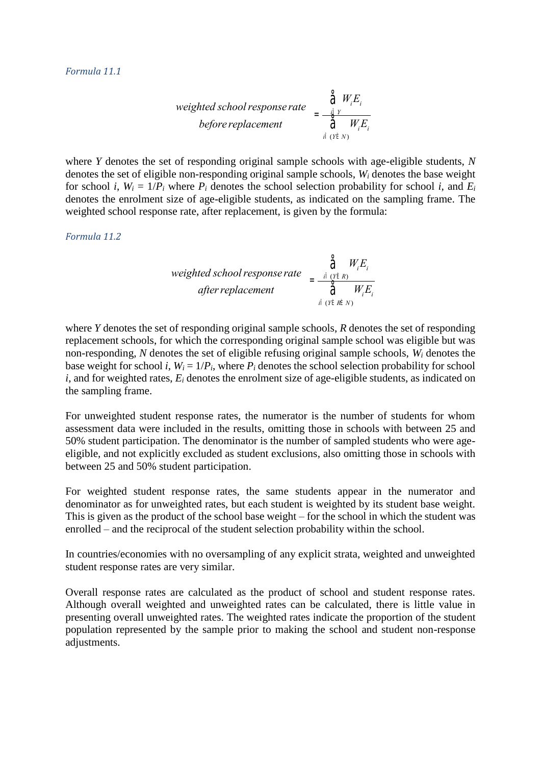*weighted school response rate* = 
$$
\frac{\hat{\tilde{d}}W_iE_i}{\hat{\tilde{d}}W_iE_i}
$$
  
*before replacement* 
$$
\hat{\tilde{d}}W_iE_i
$$

where *Y* denotes the set of responding original sample schools with age-eligible students, *N* denotes the set of eligible non-responding original sample schools, *W<sup>i</sup>* denotes the base weight for school *i*,  $W_i = 1/P_i$  where  $P_i$  denotes the school selection probability for school *i*, and  $E_i$ denotes the enrolment size of age-eligible students, as indicated on the sampling frame. The weighted school response rate, after replacement, is given by the formula:

*Formula 11.2*

*weighted school response rate* 
$$
= \frac{\hat{\vec{a}} \quad W_i E_i}{\hat{\vec{a}} \quad W_i E_i}
$$
 *after replacement* 
$$
= \frac{\hat{\vec{a}} \quad W_i E_i}{\hat{\vec{a}} \quad W_i E_i}
$$

where *Y* denotes the set of responding original sample schools, *R* denotes the set of responding replacement schools, for which the corresponding original sample school was eligible but was non-responding, *N* denotes the set of eligible refusing original sample schools, *W<sup>i</sup>* denotes the base weight for school *i*,  $W_i = 1/P_i$ , where  $P_i$  denotes the school selection probability for school *i*, and for weighted rates, *E<sup>i</sup>* denotes the enrolment size of age-eligible students, as indicated on the sampling frame.

For unweighted student response rates, the numerator is the number of students for whom assessment data were included in the results, omitting those in schools with between 25 and 50% student participation. The denominator is the number of sampled students who were ageeligible, and not explicitly excluded as student exclusions, also omitting those in schools with between 25 and 50% student participation.

For weighted student response rates, the same students appear in the numerator and denominator as for unweighted rates, but each student is weighted by its student base weight. This is given as the product of the school base weight – for the school in which the student was enrolled – and the reciprocal of the student selection probability within the school.

In countries/economies with no oversampling of any explicit strata, weighted and unweighted student response rates are very similar.

Overall response rates are calculated as the product of school and student response rates. Although overall weighted and unweighted rates can be calculated, there is little value in presenting overall unweighted rates. The weighted rates indicate the proportion of the student population represented by the sample prior to making the school and student non-response adjustments.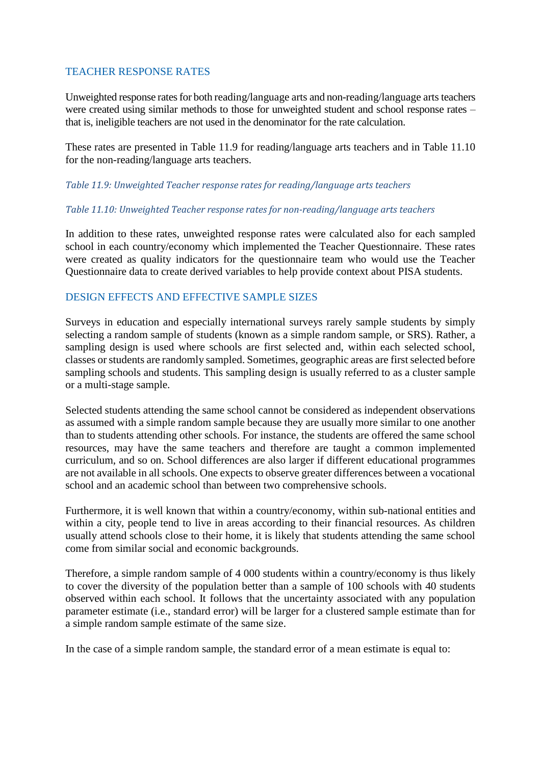# TEACHER RESPONSE RATES

Unweighted response rates for both reading/language arts and non-reading/language arts teachers were created using similar methods to those for unweighted student and school response rates – that is, ineligible teachers are not used in the denominator for the rate calculation.

These rates are presented in Table 11.9 for reading/language arts teachers and in Table 11.10 for the non-reading/language arts teachers.

### *Table 11.9: Unweighted Teacher response rates for reading/language arts teachers*

#### *Table 11.10: Unweighted Teacher response rates for non-reading/language arts teachers*

In addition to these rates, unweighted response rates were calculated also for each sampled school in each country/economy which implemented the Teacher Questionnaire. These rates were created as quality indicators for the questionnaire team who would use the Teacher Questionnaire data to create derived variables to help provide context about PISA students.

# DESIGN EFFECTS AND EFFECTIVE SAMPLE SIZES

Surveys in education and especially international surveys rarely sample students by simply selecting a random sample of students (known as a simple random sample, or SRS). Rather, a sampling design is used where schools are first selected and, within each selected school, classes or students are randomly sampled. Sometimes, geographic areas are first selected before sampling schools and students. This sampling design is usually referred to as a cluster sample or a multi-stage sample.

Selected students attending the same school cannot be considered as independent observations as assumed with a simple random sample because they are usually more similar to one another than to students attending other schools. For instance, the students are offered the same school resources, may have the same teachers and therefore are taught a common implemented curriculum, and so on. School differences are also larger if different educational programmes are not available in all schools. One expects to observe greater differences between a vocational school and an academic school than between two comprehensive schools.

Furthermore, it is well known that within a country/economy, within sub-national entities and within a city, people tend to live in areas according to their financial resources. As children usually attend schools close to their home, it is likely that students attending the same school come from similar social and economic backgrounds.

Therefore, a simple random sample of 4 000 students within a country/economy is thus likely to cover the diversity of the population better than a sample of 100 schools with 40 students observed within each school. It follows that the uncertainty associated with any population parameter estimate (i.e., standard error) will be larger for a clustered sample estimate than for a simple random sample estimate of the same size.

In the case of a simple random sample, the standard error of a mean estimate is equal to: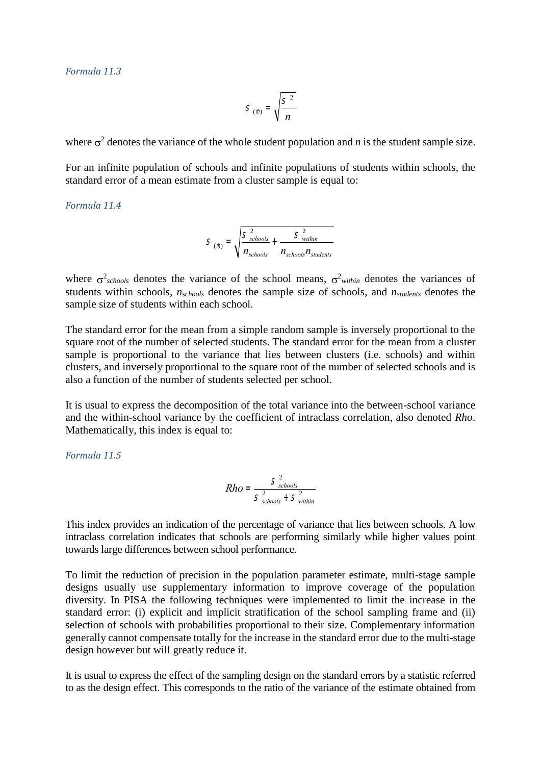#### *Formula 11.3*

$$
S_{(\hat{m})} = \sqrt{\frac{S^2}{n}}
$$

where  $\sigma^2$  denotes the variance of the whole student population and *n* is the student sample size.

For an infinite population of schools and infinite populations of students within schools, the standard error of a mean estimate from a cluster sample is equal to:

*Formula 11.4*

$$
S_{(\hat{m})} = \sqrt{\frac{S_{\text{schools}}^2}{n_{\text{schools}}} + \frac{S_{\text{within}}^2}{n_{\text{schools}} n_{\text{students}}}}
$$

where  $\sigma^2_{\text{schools}}$  denotes the variance of the school means,  $\sigma^2_{\text{within}}$  denotes the variances of students within schools, *nschools* denotes the sample size of schools, and *nstudents* denotes the sample size of students within each school.

The standard error for the mean from a simple random sample is inversely proportional to the square root of the number of selected students. The standard error for the mean from a cluster sample is proportional to the variance that lies between clusters (i.e. schools) and within clusters, and inversely proportional to the square root of the number of selected schools and is also a function of the number of students selected per school.

It is usual to express the decomposition of the total variance into the between-school variance and the within-school variance by the coefficient of intraclass correlation, also denoted *Rho*. Mathematically, this index is equal to:

*Formula 11.5*

$$
Rho = \frac{S_{\text{schools}}^2}{S_{\text{schools}}^2 + S_{\text{within}}^2}
$$

This index provides an indication of the percentage of variance that lies between schools. A low intraclass correlation indicates that schools are performing similarly while higher values point towards large differences between school performance.

To limit the reduction of precision in the population parameter estimate, multi-stage sample designs usually use supplementary information to improve coverage of the population diversity. In PISA the following techniques were implemented to limit the increase in the standard error: (i) explicit and implicit stratification of the school sampling frame and (ii) selection of schools with probabilities proportional to their size. Complementary information generally cannot compensate totally for the increase in the standard error due to the multi-stage design however but will greatly reduce it.

It is usual to express the effect of the sampling design on the standard errors by a statistic referred to as the design effect. This corresponds to the ratio of the variance of the estimate obtained from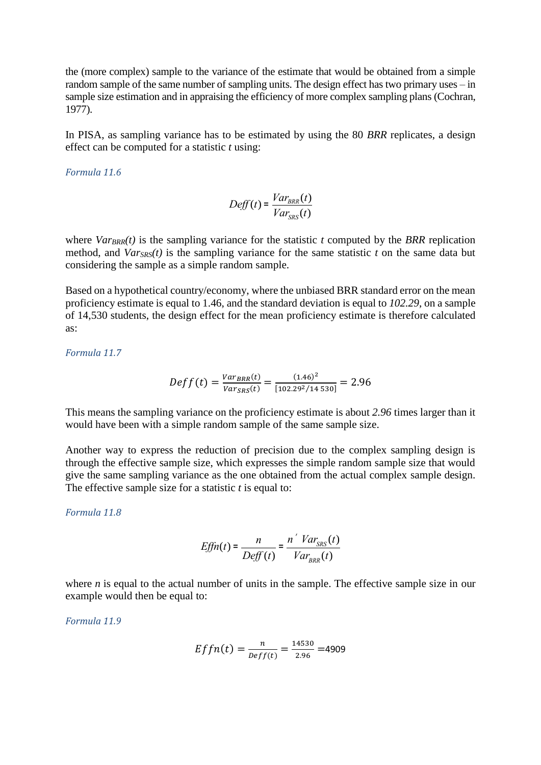the (more complex) sample to the variance of the estimate that would be obtained from a simple random sample of the same number of sampling units. The design effect has two primary uses – in sample size estimation and in appraising the efficiency of more complex sampling plans (Cochran, 1977).

In PISA, as sampling variance has to be estimated by using the 80 *BRR* replicates, a design effect can be computed for a statistic *t* using:

*Formula 11.6*

$$
Deff(t) = \frac{Var_{BRR}(t)}{Var_{SRS}(t)}
$$

where  $Var_{BRR}(t)$  is the sampling variance for the statistic  $t$  computed by the *BRR* replication method, and  $Var_{SRS}(t)$  is the sampling variance for the same statistic *t* on the same data but considering the sample as a simple random sample.

Based on a hypothetical country/economy, where the unbiased BRR standard error on the mean proficiency estimate is equal to 1.46, and the standard deviation is equal to *102.29*, on a sample of 14,530 students, the design effect for the mean proficiency estimate is therefore calculated as:

*Formula 11.7*

$$
Deff(t) = \frac{Var_{BRR}(t)}{Var_{SRS}(t)} = \frac{(1.46)^2}{[102.29^2/14530]} = 2.96
$$

This means the sampling variance on the proficiency estimate is about *2.96* times larger than it would have been with a simple random sample of the same sample size.

Another way to express the reduction of precision due to the complex sampling design is through the effective sample size, which expresses the simple random sample size that would give the same sampling variance as the one obtained from the actual complex sample design. The effective sample size for a statistic *t* is equal to:

*Formula 11.8*

$$
Effn(t) = \frac{n}{Deff(t)} = \frac{n \checkmark Var_{SRS}(t)}{Var_{BRR}(t)}
$$

where *n* is equal to the actual number of units in the sample. The effective sample size in our example would then be equal to:

*Formula 11.9*

$$
Effn(t) = \frac{n}{\text{Def}(t)} = \frac{14530}{2.96} = 4909
$$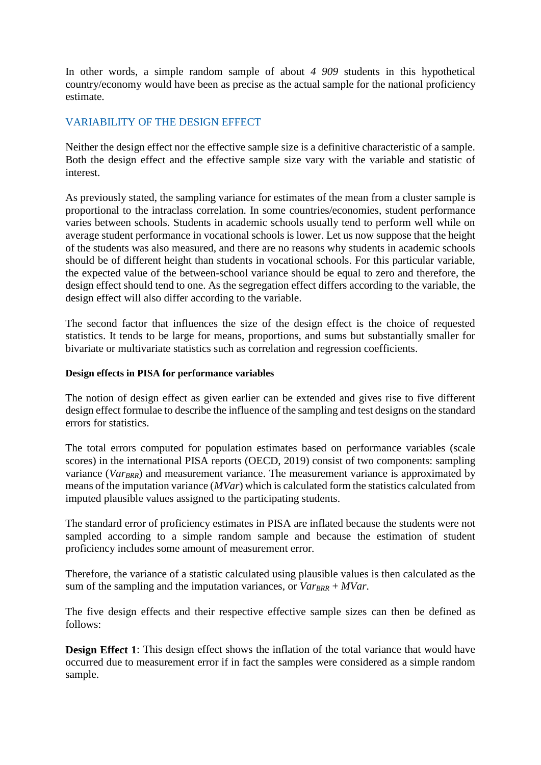In other words, a simple random sample of about *4 909* students in this hypothetical country/economy would have been as precise as the actual sample for the national proficiency estimate.

# VARIABILITY OF THE DESIGN EFFECT

Neither the design effect nor the effective sample size is a definitive characteristic of a sample. Both the design effect and the effective sample size vary with the variable and statistic of interest.

As previously stated, the sampling variance for estimates of the mean from a cluster sample is proportional to the intraclass correlation. In some countries/economies, student performance varies between schools. Students in academic schools usually tend to perform well while on average student performance in vocational schools is lower. Let us now suppose that the height of the students was also measured, and there are no reasons why students in academic schools should be of different height than students in vocational schools. For this particular variable, the expected value of the between-school variance should be equal to zero and therefore, the design effect should tend to one. As the segregation effect differs according to the variable, the design effect will also differ according to the variable.

The second factor that influences the size of the design effect is the choice of requested statistics. It tends to be large for means, proportions, and sums but substantially smaller for bivariate or multivariate statistics such as correlation and regression coefficients.

## **Design effects in PISA for performance variables**

The notion of design effect as given earlier can be extended and gives rise to five different design effect formulae to describe the influence of the sampling and test designs on the standard errors for statistics.

The total errors computed for population estimates based on performance variables (scale scores) in the international PISA reports (OECD, 2019) consist of two components: sampling variance (*VarBRR*) and measurement variance. The measurement variance is approximated by means of the imputation variance (*MVar*) which is calculated form the statistics calculated from imputed plausible values assigned to the participating students.

The standard error of proficiency estimates in PISA are inflated because the students were not sampled according to a simple random sample and because the estimation of student proficiency includes some amount of measurement error.

Therefore, the variance of a statistic calculated using plausible values is then calculated as the sum of the sampling and the imputation variances, or  $Var_{BRR} + MVar$ .

The five design effects and their respective effective sample sizes can then be defined as follows:

**Design Effect 1**: This design effect shows the inflation of the total variance that would have occurred due to measurement error if in fact the samples were considered as a simple random sample.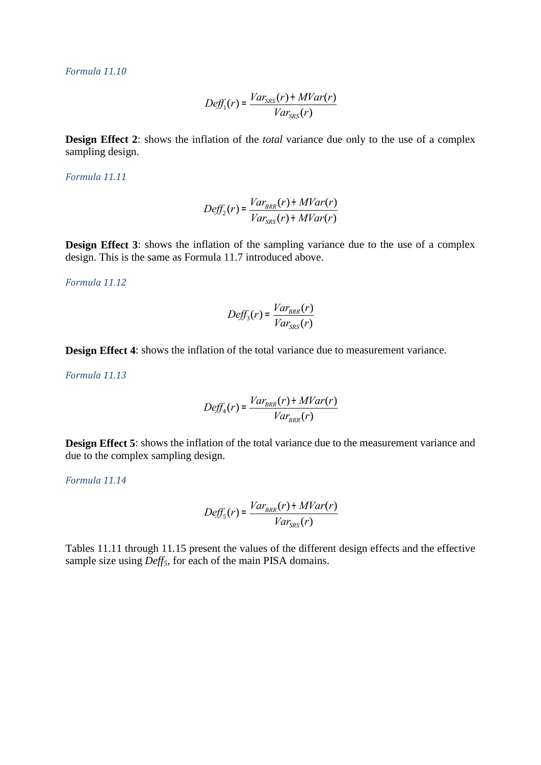*Formula 11.10*

$$
Def_{1}(r) = \frac{Var_{SRS}(r) + MVar(r)}{Var_{SRS}(r)}
$$

**Design Effect 2:** shows the inflation of the *total* variance due only to the use of a complex sampling design.

*Formula 11.11*

$$
Deff_2(r) = \frac{Var_{BRR}(r) + MVar(r)}{Var_{SRS}(r) + MVar(r)}
$$

**Design Effect 3**: shows the inflation of the sampling variance due to the use of a complex design. This is the same as Formula 11.7 introduced above.

*Formula 11.12*

$$
Deff_3(r) = \frac{Var_{BRR}(r)}{Var_{SRS}(r)}
$$

**Design Effect 4**: shows the inflation of the total variance due to measurement variance.

*Formula 11.13*

$$
Deff_4(r) = \frac{Var_{BRR}(r) + MVar(r)}{Var_{BRR}(r)}
$$

**Design Effect 5**: shows the inflation of the total variance due to the measurement variance and due to the complex sampling design.

*Formula 11.14*

$$
Deff_{5}(r) = \frac{Var_{BRR}(r) + MVar(r)}{Var_{SRS}(r)}
$$

Tables 11.11 through 11.15 present the values of the different design effects and the effective sample size using *Deff5*, for each of the main PISA domains.